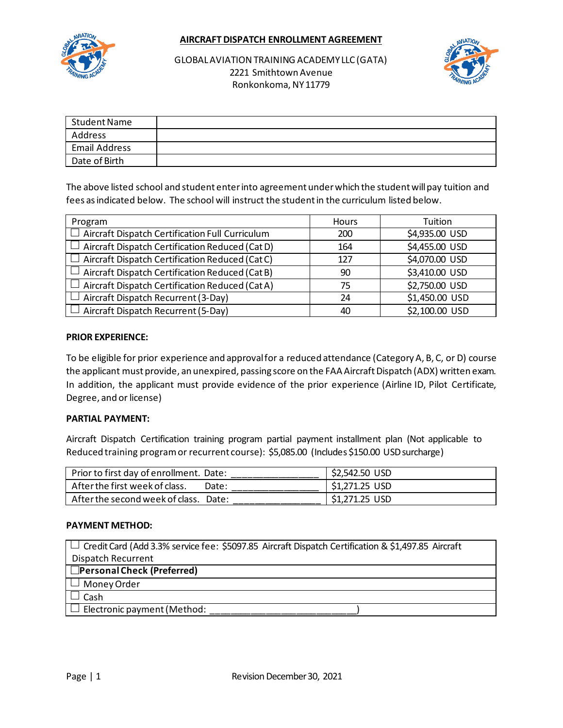**AIRCRAFT DISPATCH ENROLLMENT AGREEMENT**



GLOBAL AVIATION TRAINING ACADEMY LLC (GATA) 2221 Smithtown Avenue Ronkonkoma, NY 11779



| Student Name         |  |
|----------------------|--|
| Address              |  |
| <b>Email Address</b> |  |
| Date of Birth        |  |

The above listed school and student enter into agreement under which the student will pay tuition and fees as indicated below. The school will instruct the student in the curriculum listed below.

| Program                                                | <b>Hours</b> | Tuition        |
|--------------------------------------------------------|--------------|----------------|
| $\Box$ Aircraft Dispatch Certification Full Curriculum | 200          | \$4,935.00 USD |
| Aircraft Dispatch Certification Reduced (Cat D)        | 164          | \$4,455.00 USD |
| $\Box$ Aircraft Dispatch Certification Reduced (Cat C) | 127          | \$4,070.00 USD |
| Aircraft Dispatch Certification Reduced (Cat B)        | 90           | \$3,410.00 USD |
| Aircraft Dispatch Certification Reduced (Cat A)        | 75           | \$2,750.00 USD |
| $\Box$ Aircraft Dispatch Recurrent (3-Day)             | 24           | \$1,450.00 USD |
| Aircraft Dispatch Recurrent (5-Day)                    | 40           | \$2,100.00 USD |

#### **PRIOR EXPERIENCE:**

To be eligible for prior experience and approval for a reduced attendance (Category A, B, C, or D) course the applicant must provide, an unexpired, passing score on the FAA Aircraft Dispatch (ADX) written exam. In addition, the applicant must provide evidence of the prior experience (Airline ID, Pilot Certificate, Degree, and or license)

#### **PARTIAL PAYMENT:**

Aircraft Dispatch Certification training program partial payment installment plan (Not applicable to Reduced training program or recurrent course): \$5,085.00 (Includes \$150.00 USD surcharge)

| Prior to first day of enrollment. Date: |       | \$2,542.50 USD |
|-----------------------------------------|-------|----------------|
| After the first week of class.          | Date: | \$1,271.25 USD |
| After the second week of class. Date:   |       | \$1,271.25 USD |

#### **PAYMENT METHOD:**

| $\vert\;\vert$ Credit Card (Add 3.3% service fee: \$5097.85 Aircraft Dispatch Certification & \$1,497.85 Aircraft |  |  |
|-------------------------------------------------------------------------------------------------------------------|--|--|
| <b>Dispatch Recurrent</b>                                                                                         |  |  |
| │ □Personal Check (Preferred)                                                                                     |  |  |
| $\Box$ Money Order                                                                                                |  |  |
| Cash                                                                                                              |  |  |
| $\Box$ Electronic payment (Method:                                                                                |  |  |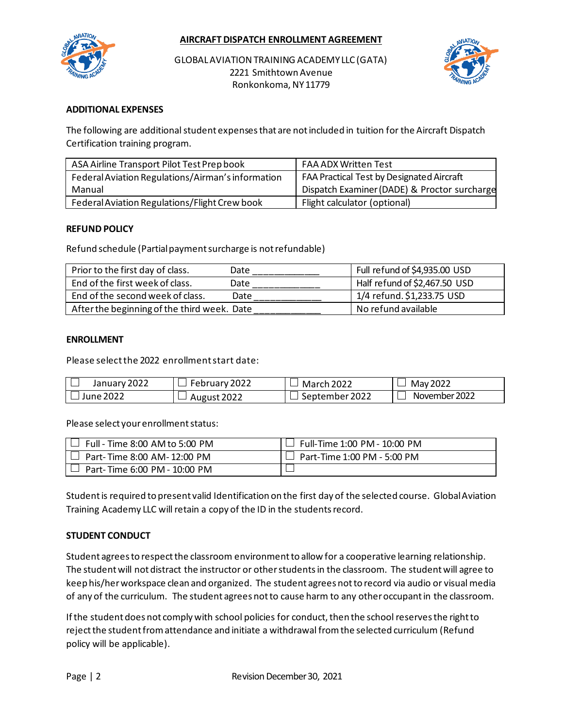

GLOBAL AVIATION TRAINING ACADEMY LLC (GATA) 2221 Smithtown Avenue Ronkonkoma, NY 11779



## **ADDITIONAL EXPENSES**

The following are additional student expensesthat are not included in tuition for the Aircraft Dispatch Certification training program.

| ASA Airline Transport Pilot Test Prep book        | <b>FAA ADX Written Test</b>                  |
|---------------------------------------------------|----------------------------------------------|
| Federal Aviation Regulations/Airman's information | FAA Practical Test by Designated Aircraft    |
| Manual                                            | Dispatch Examiner (DADE) & Proctor surcharge |
| Federal Aviation Regulations/Flight Crew book     | Flight calculator (optional)                 |

#### **REFUND POLICY**

Refund schedule (Partial payment surcharge is not refundable)

| Prior to the first day of class.            | Date | Full refund of \$4,935.00 USD |
|---------------------------------------------|------|-------------------------------|
| End of the first week of class.             | Date | Half refund of \$2,467.50 USD |
| End of the second week of class.            | Date | 1/4 refund. \$1,233.75 USD    |
| After the beginning of the third week. Date |      | No refund available           |

#### **ENROLLMENT**

Please select the 2022 enrollment start date:

| <u>__</u>            | -      | 2022      | May 2022      |
|----------------------|--------|-----------|---------------|
| January <sup>-</sup> | 2022   | Ma        |               |
| 2022                 | ENI.   | 一         |               |
| 2027                 | AUKUSL | 2022      | November 2022 |
| lune                 | __     | sentember |               |

Please select your enrollment status:

| J Full - Time 8:00 AM to 5:00 PM  | Full-Time 1:00 PM - 10:00 PM |
|-----------------------------------|------------------------------|
| $\Box$ Part-Time 8:00 AM-12:00 PM | Part-Time 1:00 PM - 5:00 PM  |
| Part-Time 6:00 PM - 10:00 PM      |                              |

Student is required to present valid Identification on the first day of the selected course. Global Aviation Training Academy LLC will retain a copy of the ID in the students record.

#### **STUDENT CONDUCT**

Student agrees to respect the classroom environment to allow for a cooperative learning relationship. The student will not distract the instructor or other students in the classroom. The student will agree to keep his/her workspace clean and organized. The student agrees not to record via audio or visual media of any of the curriculum. The student agrees not to cause harm to any other occupant in the classroom.

If the student does not comply with school policies for conduct, then the school reserves the right to reject the student from attendance and initiate a withdrawal from the selected curriculum (Refund policy will be applicable).